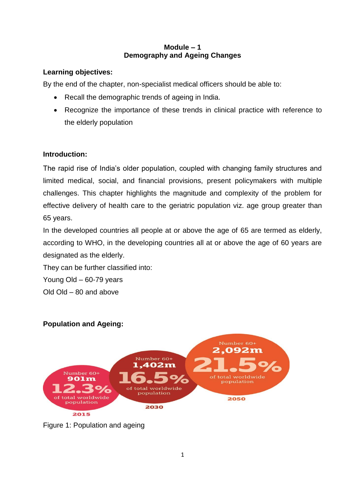## **Module – 1 Demography and Ageing Changes**

# **Learning objectives:**

By the end of the chapter, non-specialist medical officers should be able to:

- Recall the demographic trends of ageing in India.
- Recognize the importance of these trends in clinical practice with reference to the elderly population

# **Introduction:**

The rapid rise of India's older population, coupled with changing family structures and limited medical, social, and financial provisions, present policymakers with multiple challenges. This chapter highlights the magnitude and complexity of the problem for effective delivery of health care to the geriatric population viz. age group greater than 65 years.

In the developed countries all people at or above the age of 65 are termed as elderly, according to WHO, in the developing countries all at or above the age of 60 years are designated as the elderly.

They can be further classified into:

Young Old – 60-79 years

Old Old – 80 and above

# **Population and Ageing:**



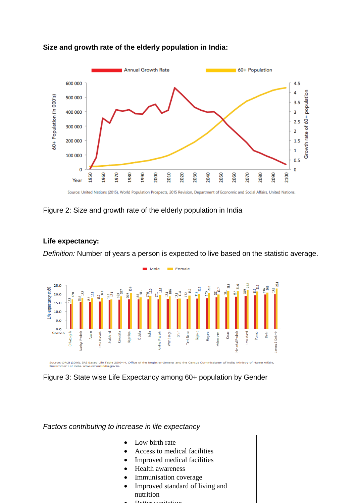

### **Size and growth rate of the elderly population in India:**

Source: United Nations (2015), World Population Prospects, 2015 Revision, Department of Economic and Social Affairs, United Nations.

## Figure 2: Size and growth rate of the elderly population in India

## **Life expectancy:**

*Definition:* Number of years a person is expected to live based on the statistic average.





*Factors contributing to increase in life expectancy*

- Low birth rate
- Access to medical facilities
- Improved medical facilities
- Health awareness
- Immunisation coverage
- Improved standard of living and nutrition
- **D**ottor conitation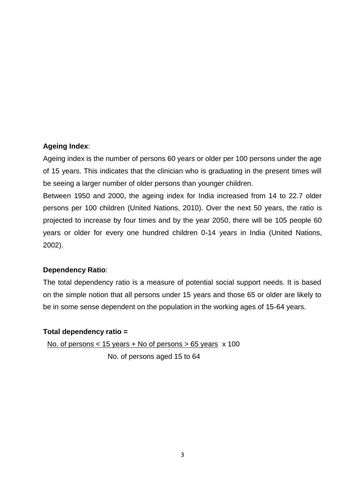### **Ageing Index**:

Ageing index is the number of persons 60 years or older per 100 persons under the age of 15 years. This indicates that the clinician who is graduating in the present times will be seeing a larger number of older persons than younger children.

Between 1950 and 2000, the ageing index for India increased from 14 to 22.7 older persons per 100 children (United Nations, 2010). Over the next 50 years, the ratio is projected to increase by four times and by the year 2050, there will be 105 people 60 years or older for every one hundred children 0-14 years in India (United Nations, 2002).

### **Dependency Ratio**:

The total dependency ratio is a measure of potential social support needs. It is based on the simple notion that all persons under 15 years and those 65 or older are likely to be in some sense dependent on the population in the working ages of 15-64 years.

#### **Total dependency ratio =**

No. of persons < 15 years + No of persons > 65 years x 100 No. of persons aged 15 to 64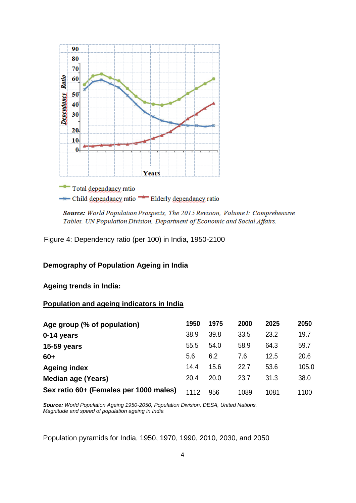

Source: World Population Prospects, The 2015 Revision, Volume I: Comprehensive Tables. UN Population Division, Department of Economic and Social Affairs.

Figure 4: Dependency ratio (per 100) in India, 1950-2100

#### **Demography of Population Ageing in India**

**Ageing trends in India:**

### **Population and ageing indicators in India**

| Age group (% of population)            | 1950 | 1975 | 2000 | 2025 | 2050  |
|----------------------------------------|------|------|------|------|-------|
| 0-14 years                             | 38.9 | 39.8 | 33.5 | 23.2 | 19.7  |
| <b>15-59 years</b>                     | 55.5 | 54.0 | 58.9 | 64.3 | 59.7  |
| $60+$                                  | 5.6  | 6.2  | 7.6  | 12.5 | 20.6  |
| <b>Ageing index</b>                    | 14.4 | 15.6 | 22.7 | 53.6 | 105.0 |
| <b>Median age (Years)</b>              | 20.4 | 20.0 | 23.7 | 31.3 | 38.0  |
| Sex ratio 60+ (Females per 1000 males) | 1112 | 956  | 1089 | 1081 | 1100  |

*Source: World Population Ageing 1950-2050, Population Division, DESA, United Nations. Magnitude and speed of population ageing in India*

Population pyramids for India, 1950, 1970, 1990, 2010, 2030, and 2050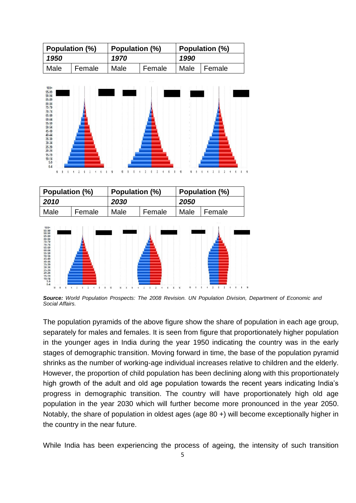| Population (%) |        | Population (%) |        | Population (%) |               |  |
|----------------|--------|----------------|--------|----------------|---------------|--|
| 1950           |        | 1970           |        | 1990           |               |  |
| Male           | Female | Male           | Female |                | Male   Female |  |



*Source: World Population Prospects: The 2008 Revision. UN Population Division, Department of Economic and Social Affairs.*

The population pyramids of the above figure show the share of population in each age group, separately for males and females. It is seen from figure that proportionately higher population in the younger ages in India during the year 1950 indicating the country was in the early stages of demographic transition. Moving forward in time, the base of the population pyramid shrinks as the number of working-age individual increases relative to children and the elderly. However, the proportion of child population has been declining along with this proportionately high growth of the adult and old age population towards the recent years indicating India's progress in demographic transition. The country will have proportionately high old age population in the year 2030 which will further become more pronounced in the year 2050. Notably, the share of population in oldest ages (age 80 +) will become exceptionally higher in the country in the near future.

While India has been experiencing the process of ageing, the intensity of such transition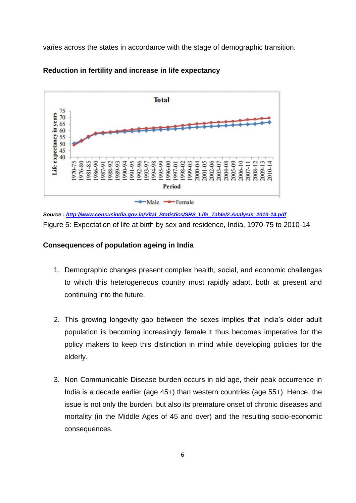varies across the states in accordance with the stage of demographic transition.



### **Reduction in fertility and increase in life expectancy**

*Source [: http://www.censusindia.gov.in/Vital\\_Statistics/SRS\\_Life\\_Table/2.Analysis\\_2010-14.pdf](http://www.censusindia.gov.in/Vital_Statistics/SRS_Life_Table/2.Analysis_2010-14.pdf)* Figure 5: Expectation of life at birth by sex and residence, India, 1970-75 to 2010-14

## **Consequences of population ageing in India**

- 1. Demographic changes present complex health, social, and economic challenges to which this heterogeneous country must rapidly adapt, both at present and continuing into the future.
- 2. This growing longevity gap between the sexes implies that India's older adult population is becoming increasingly female.It thus becomes imperative for the policy makers to keep this distinction in mind while developing policies for the elderly.
- 3. Non Communicable Disease burden occurs in old age, their peak occurrence in India is a decade earlier (age 45+) than western countries (age 55+). Hence, the issue is not only the burden, but also its premature onset of chronic diseases and mortality (in the Middle Ages of 45 and over) and the resulting socio-economic consequences.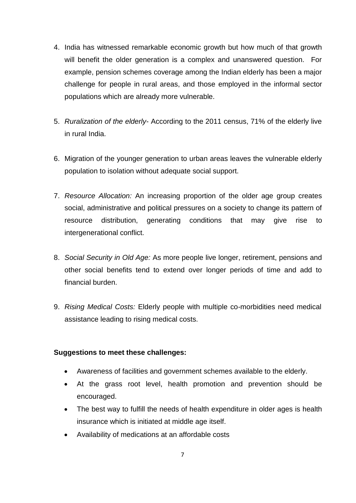- 4. India has witnessed remarkable economic growth but how much of that growth will benefit the older generation is a complex and unanswered question. For example, pension schemes coverage among the Indian elderly has been a major challenge for people in rural areas, and those employed in the informal sector populations which are already more vulnerable.
- 5. *Ruralization of the elderly* According to the 2011 census, 71% of the elderly live in rural India.
- 6. Migration of the younger generation to urban areas leaves the vulnerable elderly population to isolation without adequate social support.
- 7. *Resource Allocation:* An increasing proportion of the older age group creates social, administrative and political pressures on a society to change its pattern of resource distribution, generating conditions that may give rise to intergenerational conflict.
- 8. *Social Security in Old Age:* As more people live longer, retirement, pensions and other social benefits tend to extend over longer periods of time and add to financial burden.
- 9. *Rising Medical Costs:* Elderly people with multiple co-morbidities need medical assistance leading to rising medical costs.

### **Suggestions to meet these challenges:**

- Awareness of facilities and government schemes available to the elderly.
- At the grass root level, health promotion and prevention should be encouraged.
- The best way to fulfill the needs of health expenditure in older ages is health insurance which is initiated at middle age itself.
- Availability of medications at an affordable costs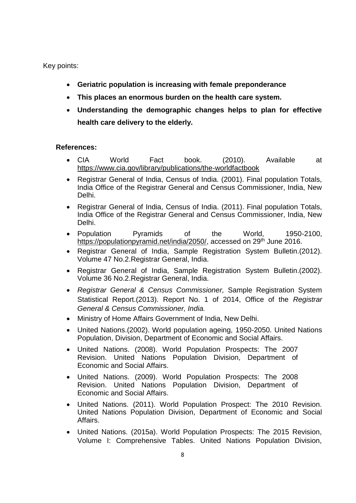Key points:

- **Geriatric population is increasing with female preponderance**
- **This places an enormous burden on the health care system.**
- **Understanding the demographic changes helps to plan for effective health care delivery to the elderly.**

#### **References:**

- CIA World Fact book. (2010). Available at https://www.cia.gov/library/publications/the-worldfactbook
- Registrar General of India, Census of India. (2001). Final population Totals, India Office of the Registrar General and Census Commissioner, India, New Delhi.
- Registrar General of India, Census of India. (2011). Final population Totals, India Office of the Registrar General and Census Commissioner, India, New Delhi.
- Population Pyramids of the World, 1950-2100, https://populationpyramid.net/india/2050/, accessed on 29<sup>th</sup> June 2016.
- Registrar General of India, Sample Registration System Bulletin.(2012). Volume 47 No.2.Registrar General, India.
- Registrar General of India, Sample Registration System Bulletin.(2002). Volume 36 No.2.Registrar General, India.
- *Registrar General & Census Commissioner,* Sample Registration System Statistical Report.(2013). Report No. 1 of 2014, Office of the *Registrar General & Census Commissioner, India.*
- Ministry of Home Affairs Government of India, New Delhi.
- United Nations.(2002). World population ageing, 1950-2050. United Nations Population, Division, Department of Economic and Social Affairs.
- United Nations. (2008). World Population Prospects: The 2007 Revision. United Nations Population Division, Department of Economic and Social Affairs.
- United Nations. (2009). World Population Prospects: The 2008 Revision. United Nations Population Division, Department of Economic and Social Affairs.
- United Nations. (2011). World Population Prospect: The 2010 Revision. United Nations Population Division, Department of Economic and Social Affairs.
- United Nations. (2015a). World Population Prospects: The 2015 Revision, Volume I: Comprehensive Tables. United Nations Population Division,